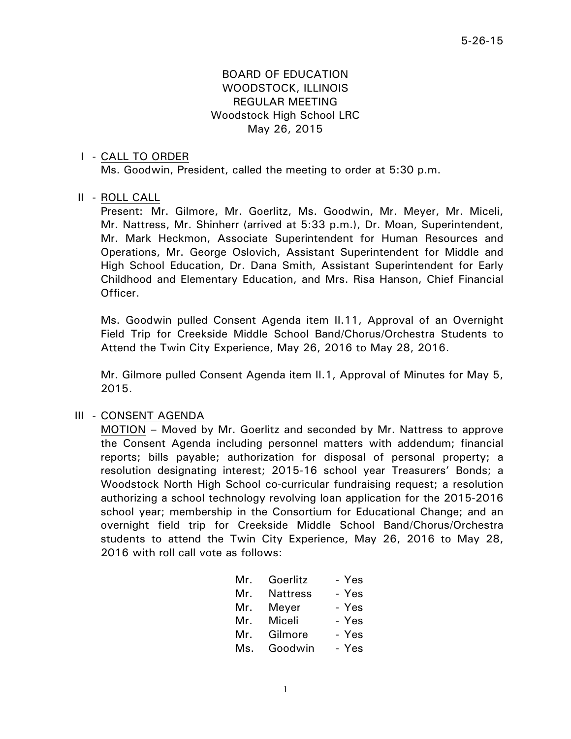## BOARD OF EDUCATION WOODSTOCK, ILLINOIS REGULAR MEETING Woodstock High School LRC May 26, 2015

#### I - CALL TO ORDER

Ms. Goodwin, President, called the meeting to order at 5:30 p.m.

#### II - ROLL CALL

 Present: Mr. Gilmore, Mr. Goerlitz, Ms. Goodwin, Mr. Meyer, Mr. Miceli, Mr. Nattress, Mr. Shinherr (arrived at 5:33 p.m.), Dr. Moan, Superintendent, Mr. Mark Heckmon, Associate Superintendent for Human Resources and Operations, Mr. George Oslovich, Assistant Superintendent for Middle and High School Education, Dr. Dana Smith, Assistant Superintendent for Early Childhood and Elementary Education, and Mrs. Risa Hanson, Chief Financial Officer.

 Ms. Goodwin pulled Consent Agenda item II.11, Approval of an Overnight Field Trip for Creekside Middle School Band/Chorus/Orchestra Students to Attend the Twin City Experience, May 26, 2016 to May 28, 2016.

 Mr. Gilmore pulled Consent Agenda item II.1, Approval of Minutes for May 5, 2015.

#### III - CONSENT AGENDA

 MOTION – Moved by Mr. Goerlitz and seconded by Mr. Nattress to approve the Consent Agenda including personnel matters with addendum; financial reports; bills payable; authorization for disposal of personal property; a resolution designating interest; 2015-16 school year Treasurers' Bonds; a Woodstock North High School co-curricular fundraising request; a resolution authorizing a school technology revolving loan application for the 2015-2016 school year; membership in the Consortium for Educational Change; and an overnight field trip for Creekside Middle School Band/Chorus/Orchestra students to attend the Twin City Experience, May 26, 2016 to May 28, 2016 with roll call vote as follows:

| Mr. | Goerlitz        | - Yes |
|-----|-----------------|-------|
| Mr. | <b>Nattress</b> | - Yes |
|     | Mr. Meyer       | - Yes |
| Mr. | Miceli          | - Yes |
| Mr. | Gilmore         | - Yes |
| Ms. | Goodwin         | - Yes |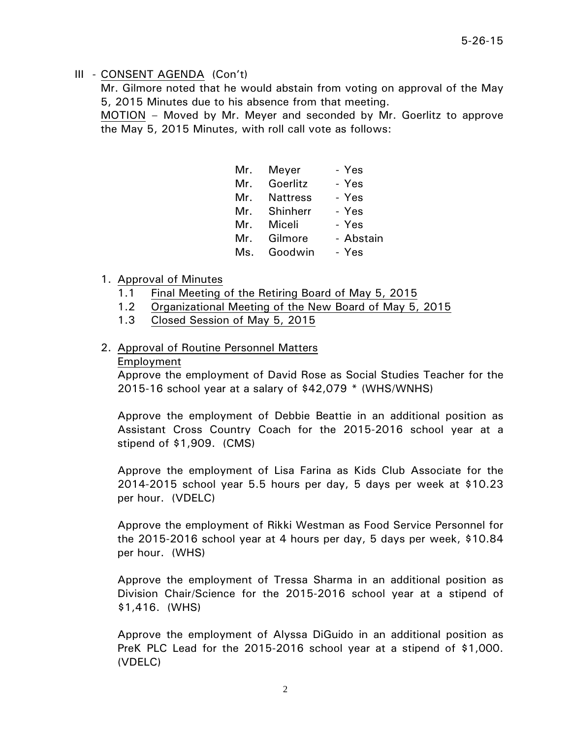Mr. Gilmore noted that he would abstain from voting on approval of the May 5, 2015 Minutes due to his absence from that meeting.

 MOTION – Moved by Mr. Meyer and seconded by Mr. Goerlitz to approve the May 5, 2015 Minutes, with roll call vote as follows:

| Mr. | Meyer           | - Yes     |
|-----|-----------------|-----------|
| Mr. | Goerlitz        | - Yes     |
| Mr. | <b>Nattress</b> | - Yes     |
|     | Mr. Shinherr    | - Yes     |
| Mr. | Miceli          | - Yes     |
| Mr. | Gilmore         | - Abstain |
| Ms. | Goodwin         | - Yes     |

- 1. Approval of Minutes
	- 1.1 Final Meeting of the Retiring Board of May 5, 2015
	- 1.2 Organizational Meeting of the New Board of May 5, 2015
	- 1.3 Closed Session of May 5, 2015

### 2. Approval of Routine Personnel Matters

#### Employment

Approve the employment of David Rose as Social Studies Teacher for the 2015-16 school year at a salary of \$42,079 \* (WHS/WNHS)

Approve the employment of Debbie Beattie in an additional position as Assistant Cross Country Coach for the 2015-2016 school year at a stipend of \$1,909. (CMS)

Approve the employment of Lisa Farina as Kids Club Associate for the 2014-2015 school year 5.5 hours per day, 5 days per week at \$10.23 per hour. (VDELC)

Approve the employment of Rikki Westman as Food Service Personnel for the 2015-2016 school year at 4 hours per day, 5 days per week, \$10.84 per hour. (WHS)

Approve the employment of Tressa Sharma in an additional position as Division Chair/Science for the 2015-2016 school year at a stipend of \$1,416. (WHS)

Approve the employment of Alyssa DiGuido in an additional position as PreK PLC Lead for the 2015-2016 school year at a stipend of \$1,000. (VDELC)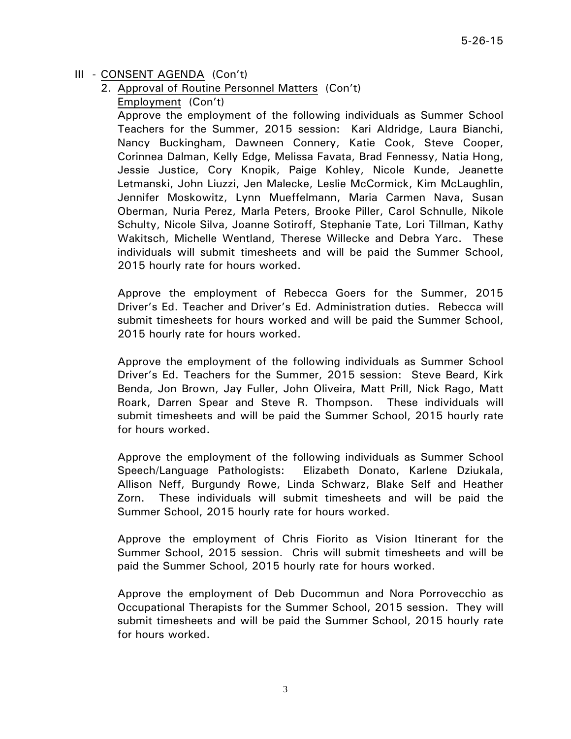## 2. Approval of Routine Personnel Matters (Con't)

Employment (Con't)

Approve the employment of the following individuals as Summer School Teachers for the Summer, 2015 session: Kari Aldridge, Laura Bianchi, Nancy Buckingham, Dawneen Connery, Katie Cook, Steve Cooper, Corinnea Dalman, Kelly Edge, Melissa Favata, Brad Fennessy, Natia Hong, Jessie Justice, Cory Knopik, Paige Kohley, Nicole Kunde, Jeanette Letmanski, John Liuzzi, Jen Malecke, Leslie McCormick, Kim McLaughlin, Jennifer Moskowitz, Lynn Mueffelmann, Maria Carmen Nava, Susan Oberman, Nuria Perez, Marla Peters, Brooke Piller, Carol Schnulle, Nikole Schulty, Nicole Silva, Joanne Sotiroff, Stephanie Tate, Lori Tillman, Kathy Wakitsch, Michelle Wentland, Therese Willecke and Debra Yarc. These individuals will submit timesheets and will be paid the Summer School, 2015 hourly rate for hours worked.

Approve the employment of Rebecca Goers for the Summer, 2015 Driver's Ed. Teacher and Driver's Ed. Administration duties. Rebecca will submit timesheets for hours worked and will be paid the Summer School, 2015 hourly rate for hours worked.

Approve the employment of the following individuals as Summer School Driver's Ed. Teachers for the Summer, 2015 session: Steve Beard, Kirk Benda, Jon Brown, Jay Fuller, John Oliveira, Matt Prill, Nick Rago, Matt Roark, Darren Spear and Steve R. Thompson. These individuals will submit timesheets and will be paid the Summer School, 2015 hourly rate for hours worked.

Approve the employment of the following individuals as Summer School Speech/Language Pathologists: Elizabeth Donato, Karlene Dziukala, Allison Neff, Burgundy Rowe, Linda Schwarz, Blake Self and Heather Zorn. These individuals will submit timesheets and will be paid the Summer School, 2015 hourly rate for hours worked.

Approve the employment of Chris Fiorito as Vision Itinerant for the Summer School, 2015 session. Chris will submit timesheets and will be paid the Summer School, 2015 hourly rate for hours worked.

Approve the employment of Deb Ducommun and Nora Porrovecchio as Occupational Therapists for the Summer School, 2015 session. They will submit timesheets and will be paid the Summer School, 2015 hourly rate for hours worked.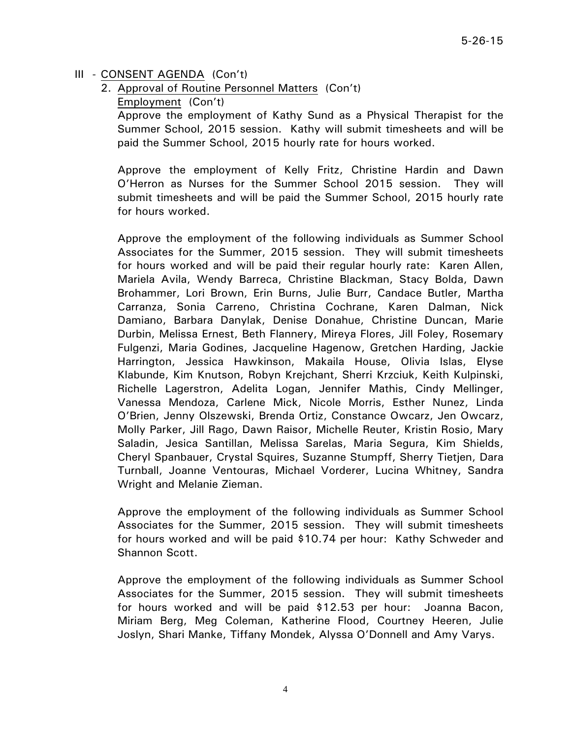2. Approval of Routine Personnel Matters (Con't)

Employment (Con't)

Approve the employment of Kathy Sund as a Physical Therapist for the Summer School, 2015 session. Kathy will submit timesheets and will be paid the Summer School, 2015 hourly rate for hours worked.

Approve the employment of Kelly Fritz, Christine Hardin and Dawn O'Herron as Nurses for the Summer School 2015 session. They will submit timesheets and will be paid the Summer School, 2015 hourly rate for hours worked.

Approve the employment of the following individuals as Summer School Associates for the Summer, 2015 session. They will submit timesheets for hours worked and will be paid their regular hourly rate: Karen Allen, Mariela Avila, Wendy Barreca, Christine Blackman, Stacy Bolda, Dawn Brohammer, Lori Brown, Erin Burns, Julie Burr, Candace Butler, Martha Carranza, Sonia Carreno, Christina Cochrane, Karen Dalman, Nick Damiano, Barbara Danylak, Denise Donahue, Christine Duncan, Marie Durbin, Melissa Ernest, Beth Flannery, Mireya Flores, Jill Foley, Rosemary Fulgenzi, Maria Godines, Jacqueline Hagenow, Gretchen Harding, Jackie Harrington, Jessica Hawkinson, Makaila House, Olivia Islas, Elyse Klabunde, Kim Knutson, Robyn Krejchant, Sherri Krzciuk, Keith Kulpinski, Richelle Lagerstron, Adelita Logan, Jennifer Mathis, Cindy Mellinger, Vanessa Mendoza, Carlene Mick, Nicole Morris, Esther Nunez, Linda O'Brien, Jenny Olszewski, Brenda Ortiz, Constance Owcarz, Jen Owcarz, Molly Parker, Jill Rago, Dawn Raisor, Michelle Reuter, Kristin Rosio, Mary Saladin, Jesica Santillan, Melissa Sarelas, Maria Segura, Kim Shields, Cheryl Spanbauer, Crystal Squires, Suzanne Stumpff, Sherry Tietjen, Dara Turnball, Joanne Ventouras, Michael Vorderer, Lucina Whitney, Sandra Wright and Melanie Zieman.

Approve the employment of the following individuals as Summer School Associates for the Summer, 2015 session. They will submit timesheets for hours worked and will be paid \$10.74 per hour: Kathy Schweder and Shannon Scott.

Approve the employment of the following individuals as Summer School Associates for the Summer, 2015 session. They will submit timesheets for hours worked and will be paid \$12.53 per hour: Joanna Bacon, Miriam Berg, Meg Coleman, Katherine Flood, Courtney Heeren, Julie Joslyn, Shari Manke, Tiffany Mondek, Alyssa O'Donnell and Amy Varys.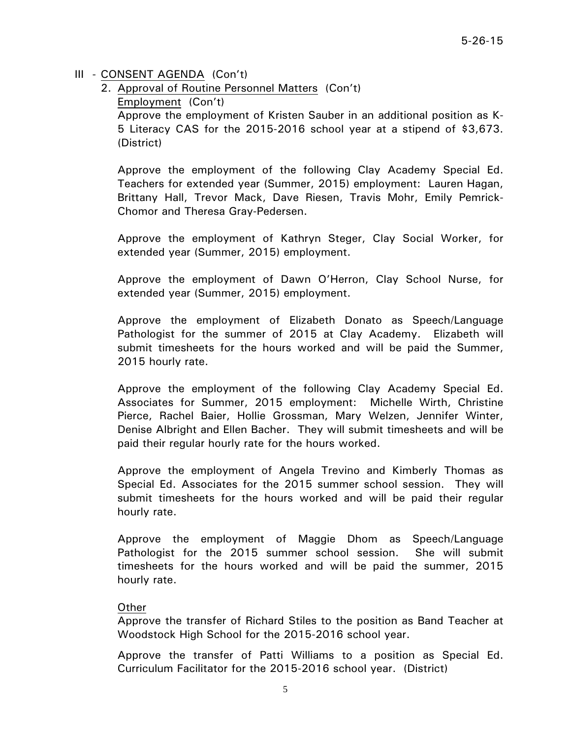2. Approval of Routine Personnel Matters (Con't) Employment (Con't) Approve the employment of Kristen Sauber in an additional position as K-5 Literacy CAS for the 2015-2016 school year at a stipend of \$3,673. (District)

Approve the employment of the following Clay Academy Special Ed. Teachers for extended year (Summer, 2015) employment: Lauren Hagan, Brittany Hall, Trevor Mack, Dave Riesen, Travis Mohr, Emily Pemrick-Chomor and Theresa Gray-Pedersen.

Approve the employment of Kathryn Steger, Clay Social Worker, for extended year (Summer, 2015) employment.

Approve the employment of Dawn O'Herron, Clay School Nurse, for extended year (Summer, 2015) employment.

Approve the employment of Elizabeth Donato as Speech/Language Pathologist for the summer of 2015 at Clay Academy. Elizabeth will submit timesheets for the hours worked and will be paid the Summer, 2015 hourly rate.

Approve the employment of the following Clay Academy Special Ed. Associates for Summer, 2015 employment: Michelle Wirth, Christine Pierce, Rachel Baier, Hollie Grossman, Mary Welzen, Jennifer Winter, Denise Albright and Ellen Bacher. They will submit timesheets and will be paid their regular hourly rate for the hours worked.

Approve the employment of Angela Trevino and Kimberly Thomas as Special Ed. Associates for the 2015 summer school session. They will submit timesheets for the hours worked and will be paid their regular hourly rate.

Approve the employment of Maggie Dhom as Speech/Language Pathologist for the 2015 summer school session. She will submit timesheets for the hours worked and will be paid the summer, 2015 hourly rate.

### Other

Approve the transfer of Richard Stiles to the position as Band Teacher at Woodstock High School for the 2015-2016 school year.

Approve the transfer of Patti Williams to a position as Special Ed. Curriculum Facilitator for the 2015-2016 school year. (District)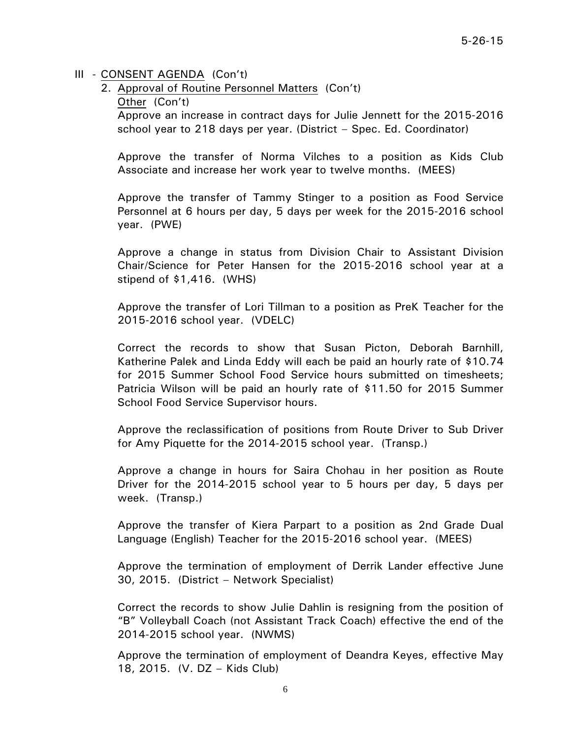2. Approval of Routine Personnel Matters (Con't)

Other (Con't)

Approve an increase in contract days for Julie Jennett for the 2015-2016 school year to 218 days per year. (District – Spec. Ed. Coordinator)

Approve the transfer of Norma Vilches to a position as Kids Club Associate and increase her work year to twelve months. (MEES)

Approve the transfer of Tammy Stinger to a position as Food Service Personnel at 6 hours per day, 5 days per week for the 2015-2016 school year. (PWE)

Approve a change in status from Division Chair to Assistant Division Chair/Science for Peter Hansen for the 2015-2016 school year at a stipend of \$1,416. (WHS)

Approve the transfer of Lori Tillman to a position as PreK Teacher for the 2015-2016 school year. (VDELC)

Correct the records to show that Susan Picton, Deborah Barnhill, Katherine Palek and Linda Eddy will each be paid an hourly rate of \$10.74 for 2015 Summer School Food Service hours submitted on timesheets; Patricia Wilson will be paid an hourly rate of \$11.50 for 2015 Summer School Food Service Supervisor hours.

Approve the reclassification of positions from Route Driver to Sub Driver for Amy Piquette for the 2014-2015 school year. (Transp.)

Approve a change in hours for Saira Chohau in her position as Route Driver for the 2014-2015 school year to 5 hours per day, 5 days per week. (Transp.)

Approve the transfer of Kiera Parpart to a position as 2nd Grade Dual Language (English) Teacher for the 2015-2016 school year. (MEES)

Approve the termination of employment of Derrik Lander effective June 30, 2015. (District – Network Specialist)

Correct the records to show Julie Dahlin is resigning from the position of "B" Volleyball Coach (not Assistant Track Coach) effective the end of the 2014-2015 school year. (NWMS)

Approve the termination of employment of Deandra Keyes, effective May 18, 2015. (V. DZ – Kids Club)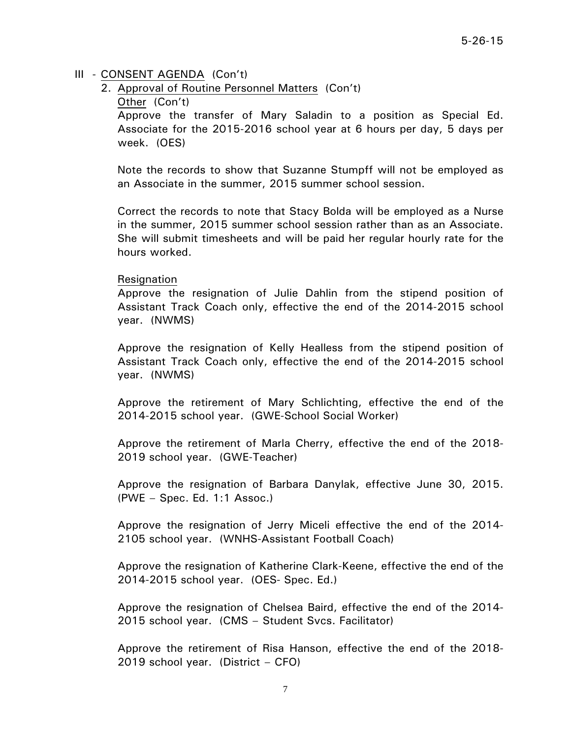2. Approval of Routine Personnel Matters (Con't)

#### Other (Con't)

Approve the transfer of Mary Saladin to a position as Special Ed. Associate for the 2015-2016 school year at 6 hours per day, 5 days per week. (OES)

Note the records to show that Suzanne Stumpff will not be employed as an Associate in the summer, 2015 summer school session.

Correct the records to note that Stacy Bolda will be employed as a Nurse in the summer, 2015 summer school session rather than as an Associate. She will submit timesheets and will be paid her regular hourly rate for the hours worked.

#### Resignation

Approve the resignation of Julie Dahlin from the stipend position of Assistant Track Coach only, effective the end of the 2014-2015 school year. (NWMS)

Approve the resignation of Kelly Healless from the stipend position of Assistant Track Coach only, effective the end of the 2014-2015 school year. (NWMS)

Approve the retirement of Mary Schlichting, effective the end of the 2014-2015 school year. (GWE-School Social Worker)

Approve the retirement of Marla Cherry, effective the end of the 2018- 2019 school year. (GWE-Teacher)

Approve the resignation of Barbara Danylak, effective June 30, 2015. (PWE – Spec. Ed. 1:1 Assoc.)

Approve the resignation of Jerry Miceli effective the end of the 2014- 2105 school year. (WNHS-Assistant Football Coach)

Approve the resignation of Katherine Clark-Keene, effective the end of the 2014-2015 school year. (OES- Spec. Ed.)

Approve the resignation of Chelsea Baird, effective the end of the 2014- 2015 school year. (CMS – Student Svcs. Facilitator)

Approve the retirement of Risa Hanson, effective the end of the 2018- 2019 school year. (District – CFO)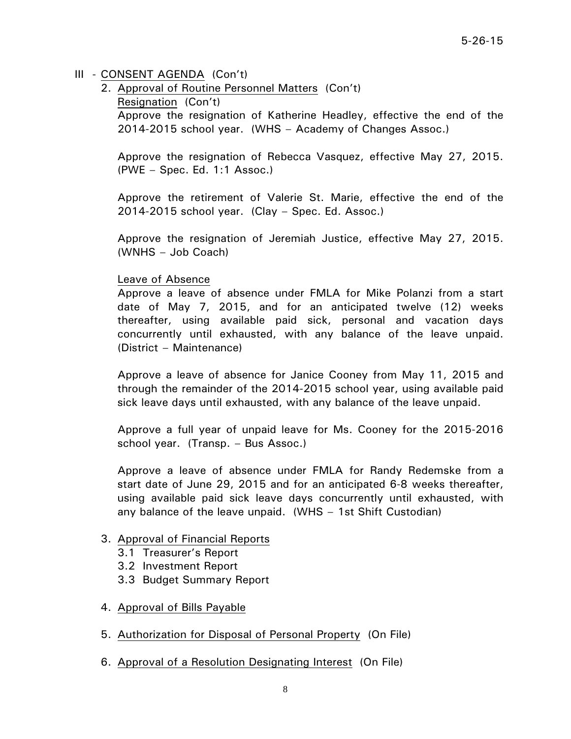2. Approval of Routine Personnel Matters (Con't)

Resignation (Con't)

Approve the resignation of Katherine Headley, effective the end of the 2014-2015 school year. (WHS – Academy of Changes Assoc.)

Approve the resignation of Rebecca Vasquez, effective May 27, 2015. (PWE – Spec. Ed. 1:1 Assoc.)

Approve the retirement of Valerie St. Marie, effective the end of the 2014-2015 school year. (Clay – Spec. Ed. Assoc.)

Approve the resignation of Jeremiah Justice, effective May 27, 2015. (WNHS – Job Coach)

### Leave of Absence

Approve a leave of absence under FMLA for Mike Polanzi from a start date of May 7, 2015, and for an anticipated twelve (12) weeks thereafter, using available paid sick, personal and vacation days concurrently until exhausted, with any balance of the leave unpaid. (District – Maintenance)

Approve a leave of absence for Janice Cooney from May 11, 2015 and through the remainder of the 2014-2015 school year, using available paid sick leave days until exhausted, with any balance of the leave unpaid.

Approve a full year of unpaid leave for Ms. Cooney for the 2015-2016 school year. (Transp. – Bus Assoc.)

Approve a leave of absence under FMLA for Randy Redemske from a start date of June 29, 2015 and for an anticipated 6-8 weeks thereafter, using available paid sick leave days concurrently until exhausted, with any balance of the leave unpaid. (WHS – 1st Shift Custodian)

### 3. Approval of Financial Reports

- 3.1 Treasurer's Report
- 3.2 Investment Report
- 3.3 Budget Summary Report
- 4. Approval of Bills Payable
- 5. Authorization for Disposal of Personal Property (On File)
- 6. Approval of a Resolution Designating Interest (On File)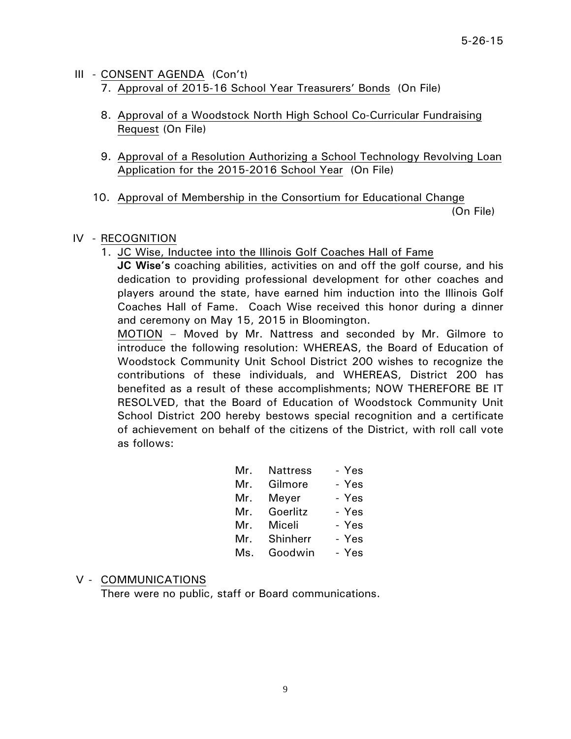- III CONSENT AGENDA (Con't)
	- 7. Approval of 2015-16 School Year Treasurers' Bonds (On File)
	- 8. Approval of a Woodstock North High School Co-Curricular Fundraising Request (On File)
	- 9. Approval of a Resolution Authorizing a School Technology Revolving Loan Application for the 2015-2016 School Year (On File)
	- 10. Approval of Membership in the Consortium for Educational Change

(On File)

## IV - RECOGNITION

1. JC Wise, Inductee into the Illinois Golf Coaches Hall of Fame

**JC Wise's** coaching abilities, activities on and off the golf course, and his dedication to providing professional development for other coaches and players around the state, have earned him induction into the Illinois Golf Coaches Hall of Fame. Coach Wise received this honor during a dinner and ceremony on May 15, 2015 in Bloomington.

MOTION – Moved by Mr. Nattress and seconded by Mr. Gilmore to introduce the following resolution: WHEREAS, the Board of Education of Woodstock Community Unit School District 200 wishes to recognize the contributions of these individuals, and WHEREAS, District 200 has benefited as a result of these accomplishments; NOW THEREFORE BE IT RESOLVED, that the Board of Education of Woodstock Community Unit School District 200 hereby bestows special recognition and a certificate of achievement on behalf of the citizens of the District, with roll call vote as follows:

| Mr. |          | - Yes                          |
|-----|----------|--------------------------------|
| Mr. | Gilmore  | - Yes                          |
|     |          | - Yes                          |
| Mr. | Goerlitz | - Yes                          |
| Mr. | Miceli   | - Yes                          |
|     | Shinherr | - Yes                          |
| Ms. | Goodwin  | - Yes                          |
|     |          | Nattress<br>Mr. Meyer<br>Mr. L |

## V - COMMUNICATIONS

There were no public, staff or Board communications.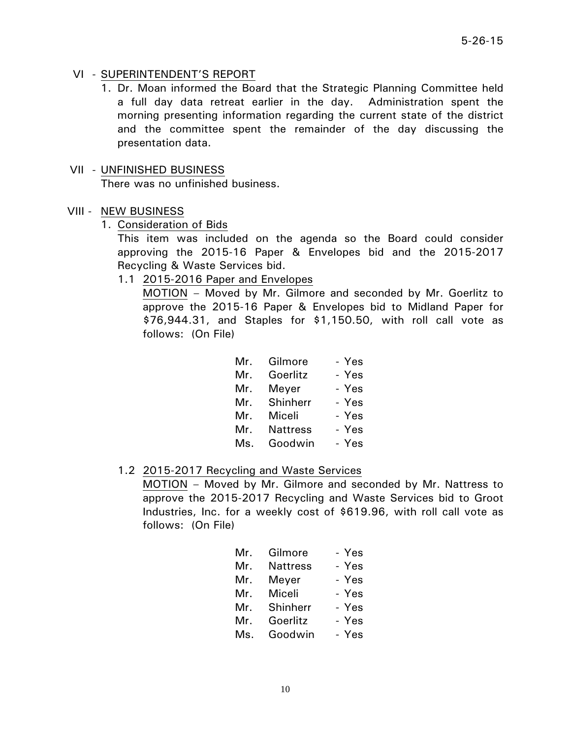## VI - SUPERINTENDENT'S REPORT

1. Dr. Moan informed the Board that the Strategic Planning Committee held a full day data retreat earlier in the day. Administration spent the morning presenting information regarding the current state of the district and the committee spent the remainder of the day discussing the presentation data.

### VII - UNFINISHED BUSINESS

There was no unfinished business.

### VIII - NEW BUSINESS

1. Consideration of Bids

This item was included on the agenda so the Board could consider approving the 2015-16 Paper & Envelopes bid and the 2015-2017 Recycling & Waste Services bid.

1.1 2015-2016 Paper and Envelopes

MOTION – Moved by Mr. Gilmore and seconded by Mr. Goerlitz to approve the 2015-16 Paper & Envelopes bid to Midland Paper for \$76,944.31, and Staples for \$1,150.50, with roll call vote as follows: (On File)

|     |                 | - Yes              |
|-----|-----------------|--------------------|
| Mr. | Goerlitz        | - Yes              |
| Mr. | Meyer           | - Yes              |
|     | Shinherr        | - Yes              |
| Mr. | Miceli          | - Yes              |
| Mr. | <b>Nattress</b> | - Yes              |
| Ms. | Goodwin         | - Yes              |
|     |                 | Mr. Gilmore<br>Mr. |

## 1.2 2015-2017 Recycling and Waste Services

 MOTION – Moved by Mr. Gilmore and seconded by Mr. Nattress to approve the 2015-2017 Recycling and Waste Services bid to Groot Industries, Inc. for a weekly cost of \$619.96, with roll call vote as follows: (On File)

| Mr.   | Gilmore         | - Yes |
|-------|-----------------|-------|
| Mr.   | <b>Nattress</b> | - Yes |
| Mr.   | Meyer           | - Yes |
| Mr.   | Miceli          | - Yes |
| Mr. I | Shinherr        | - Yes |
| Mr.   | Goerlitz        | - Yes |
| Ms.   | Goodwin         | - Yes |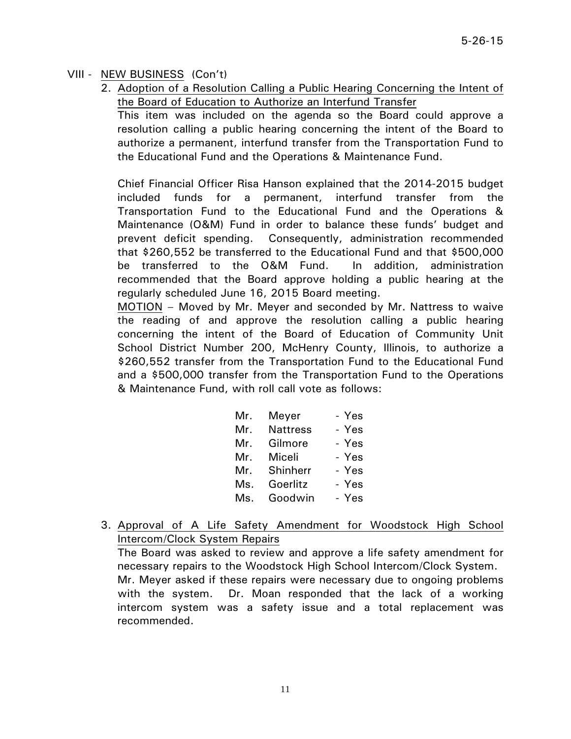## VIII - NEW BUSINESS (Con't)

2. Adoption of a Resolution Calling a Public Hearing Concerning the Intent of the Board of Education to Authorize an Interfund Transfer

This item was included on the agenda so the Board could approve a resolution calling a public hearing concerning the intent of the Board to authorize a permanent, interfund transfer from the Transportation Fund to the Educational Fund and the Operations & Maintenance Fund.

 Chief Financial Officer Risa Hanson explained that the 2014-2015 budget included funds for a permanent, interfund transfer from the Transportation Fund to the Educational Fund and the Operations & Maintenance (O&M) Fund in order to balance these funds' budget and prevent deficit spending. Consequently, administration recommended that \$260,552 be transferred to the Educational Fund and that \$500,000 be transferred to the O&M Fund. In addition, administration recommended that the Board approve holding a public hearing at the regularly scheduled June 16, 2015 Board meeting.

MOTION – Moved by Mr. Meyer and seconded by Mr. Nattress to waive the reading of and approve the resolution calling a public hearing concerning the intent of the Board of Education of Community Unit School District Number 200, McHenry County, Illinois, to authorize a \$260,552 transfer from the Transportation Fund to the Educational Fund and a \$500,000 transfer from the Transportation Fund to the Operations & Maintenance Fund, with roll call vote as follows:

| Mr. | Meyer           | - Yes |
|-----|-----------------|-------|
| Mr. | <b>Nattress</b> | - Yes |
| Mr. | Gilmore         | - Yes |
| Mr. | Miceli          | - Yes |
| Mr. | Shinherr        | - Yes |
| Ms. | Goerlitz        | - Yes |
| Ms. | Goodwin         | - Yes |

3. Approval of A Life Safety Amendment for Woodstock High School Intercom/Clock System Repairs

The Board was asked to review and approve a life safety amendment for necessary repairs to the Woodstock High School Intercom/Clock System. Mr. Meyer asked if these repairs were necessary due to ongoing problems with the system. Dr. Moan responded that the lack of a working intercom system was a safety issue and a total replacement was recommended.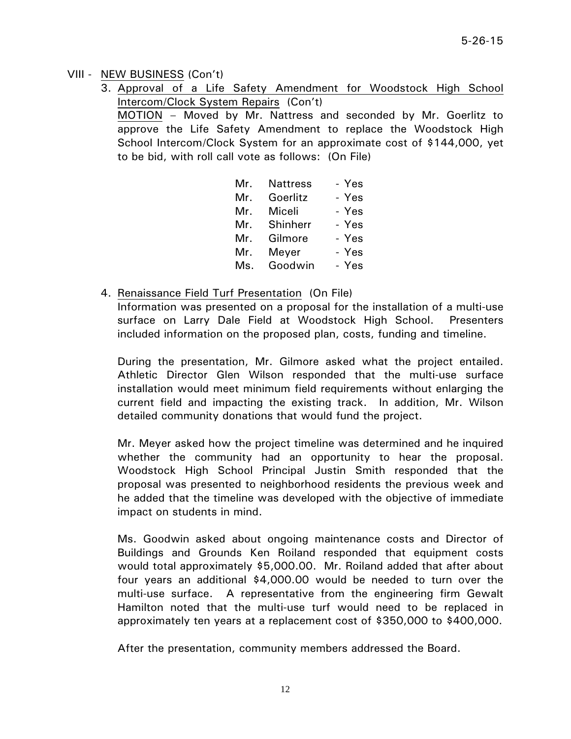## VIII - NEW BUSINESS (Con't)

3. Approval of a Life Safety Amendment for Woodstock High School Intercom/Clock System Repairs (Con't)

MOTION – Moved by Mr. Nattress and seconded by Mr. Goerlitz to approve the Life Safety Amendment to replace the Woodstock High School Intercom/Clock System for an approximate cost of \$144,000, yet to be bid, with roll call vote as follows: (On File)

| Mr. | <b>Nattress</b> | - Yes |
|-----|-----------------|-------|
| Mr. | Goerlitz        | - Yes |
| Mr. | Miceli          | - Yes |
| Mr. | Shinherr        | - Yes |
| Mr. | Gilmore         | - Yes |
| Mr. | Meyer           | - Yes |
| Ms. | Goodwin         | - Yes |

4. Renaissance Field Turf Presentation (On File)

Information was presented on a proposal for the installation of a multi-use surface on Larry Dale Field at Woodstock High School. Presenters included information on the proposed plan, costs, funding and timeline.

 During the presentation, Mr. Gilmore asked what the project entailed. Athletic Director Glen Wilson responded that the multi-use surface installation would meet minimum field requirements without enlarging the current field and impacting the existing track. In addition, Mr. Wilson detailed community donations that would fund the project.

 Mr. Meyer asked how the project timeline was determined and he inquired whether the community had an opportunity to hear the proposal. Woodstock High School Principal Justin Smith responded that the proposal was presented to neighborhood residents the previous week and he added that the timeline was developed with the objective of immediate impact on students in mind.

 Ms. Goodwin asked about ongoing maintenance costs and Director of Buildings and Grounds Ken Roiland responded that equipment costs would total approximately \$5,000.00. Mr. Roiland added that after about four years an additional \$4,000.00 would be needed to turn over the multi-use surface. A representative from the engineering firm Gewalt Hamilton noted that the multi-use turf would need to be replaced in approximately ten years at a replacement cost of \$350,000 to \$400,000.

After the presentation, community members addressed the Board.